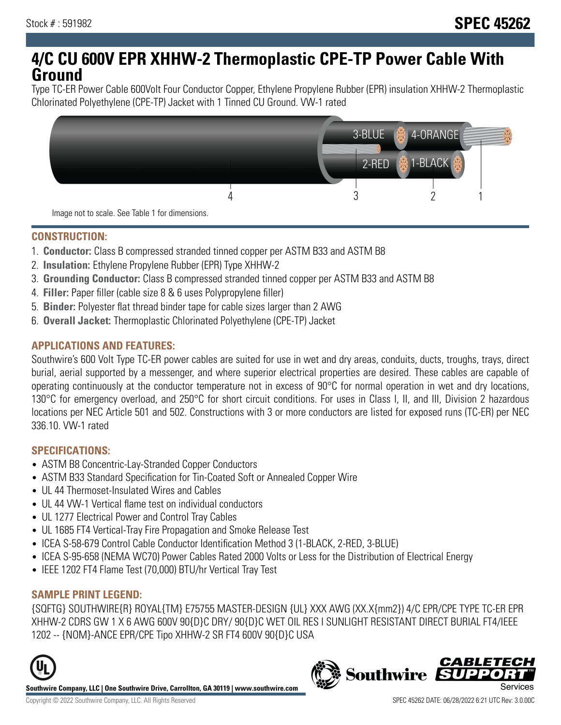## **4/C CU 600V EPR XHHW-2 Thermoplastic CPE-TP Power Cable With Ground**

Type TC-ER Power Cable 600Volt Four Conductor Copper, Ethylene Propylene Rubber (EPR) insulation XHHW-2 Thermoplastic Chlorinated Polyethylene (CPE-TP) Jacket with 1 Tinned CU Ground. VW-1 rated



#### **CONSTRUCTION:**

- 1. **Conductor:** Class B compressed stranded tinned copper per ASTM B33 and ASTM B8
- 2. **Insulation:** Ethylene Propylene Rubber (EPR) Type XHHW-2
- 3. **Grounding Conductor:** Class B compressed stranded tinned copper per ASTM B33 and ASTM B8
- 4. **Filler:** Paper filler (cable size 8 & 6 uses Polypropylene filler)
- 5. **Binder:** Polyester flat thread binder tape for cable sizes larger than 2 AWG
- 6. **Overall Jacket:** Thermoplastic Chlorinated Polyethylene (CPE-TP) Jacket

#### **APPLICATIONS AND FEATURES:**

Southwire's 600 Volt Type TC-ER power cables are suited for use in wet and dry areas, conduits, ducts, troughs, trays, direct burial, aerial supported by a messenger, and where superior electrical properties are desired. These cables are capable of operating continuously at the conductor temperature not in excess of 90°C for normal operation in wet and dry locations, 130°C for emergency overload, and 250°C for short circuit conditions. For uses in Class I, II, and III, Division 2 hazardous locations per NEC Article 501 and 502. Constructions with 3 or more conductors are listed for exposed runs (TC-ER) per NEC 336.10. VW-1 rated

#### **SPECIFICATIONS:**

- ASTM B8 Concentric-Lay-Stranded Copper Conductors
- ASTM B33 Standard Specification for Tin-Coated Soft or Annealed Copper Wire
- UL 44 Thermoset-Insulated Wires and Cables
- UL 44 VW-1 Vertical flame test on individual conductors
- UL 1277 Electrical Power and Control Tray Cables
- UL 1685 FT4 Vertical-Tray Fire Propagation and Smoke Release Test
- ICEA S-58-679 Control Cable Conductor Identification Method 3 (1-BLACK, 2-RED, 3-BLUE)
- ICEA S-95-658 (NEMA WC70) Power Cables Rated 2000 Volts or Less for the Distribution of Electrical Energy
- IEEE 1202 FT4 Flame Test (70,000) BTU/hr Vertical Tray Test

## **SAMPLE PRINT LEGEND:**

{SQFTG} SOUTHWIRE{R} ROYAL{TM} E75755 MASTER-DESIGN {UL} XXX AWG (XX.X{mm2}) 4/C EPR/CPE TYPE TC-ER EPR XHHW-2 CDRS GW 1 X 6 AWG 600V 90{D}C DRY/ 90{D}C WET OIL RES I SUNLIGHT RESISTANT DIRECT BURIAL FT4/IEEE 1202 -- {NOM}-ANCE EPR/CPE Tipo XHHW-2 SR FT4 600V 90{D}C USA



**Southwire Company, LLC | One Southwire Drive, Carrollton, GA 30119 | www.southwire.com**

# **Southwire**

**CABLETEC**